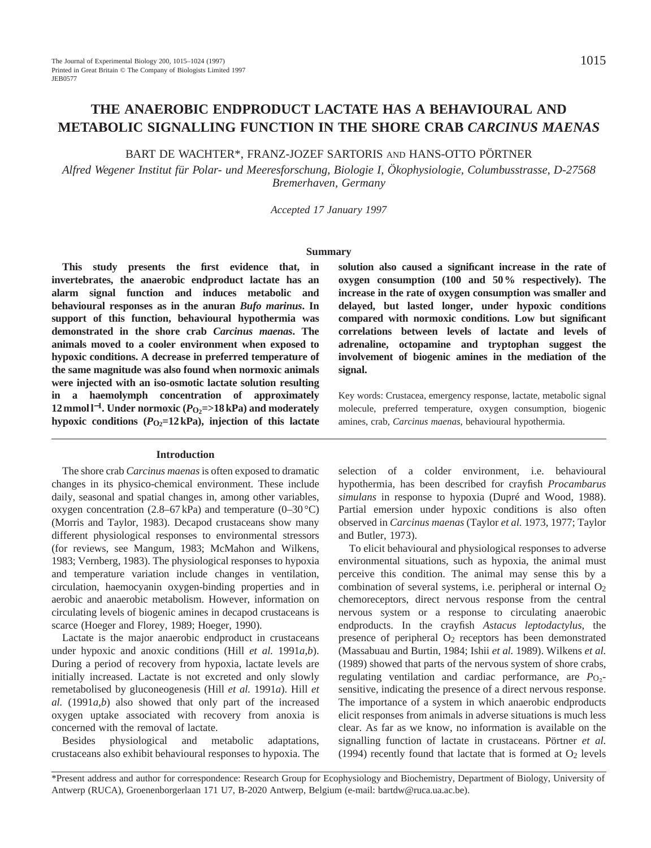# **THE ANAEROBIC ENDPRODUCT LACTATE HAS A BEHAVIOURAL AND METABOLIC SIGNALLING FUNCTION IN THE SHORE CRAB** *CARCINUS MAENAS*

# BART DE WACHTER\*, FRANZ-JOZEF SARTORIS AND HANS-OTTO PÖRTNER

*Alfred Wegener Institut für Polar- und Meeresforschung, Biologie I, Ökophysiologie, Columbusstrasse, D-27568 Bremerhaven, Germany*

*Accepted 17 January 1997*

#### **Summary**

**This study presents the first evidence that, in invertebrates, the anaerobic endproduct lactate has an alarm signal function and induces metabolic and behavioural responses as in the anuran** *Bufo marinus***. In support of this function, behavioural hypothermia was demonstrated in the shore crab** *Carcinus maenas***. The animals moved to a cooler environment when exposed to hypoxic conditions. A decrease in preferred temperature of the same magnitude was also found when normoxic animals were injected with an iso-osmotic lactate solution resulting in a haemolymph concentration of approximately 12 mmol l<sup>−1</sup>. Under normoxic (***P***<sub>O2</sub>=>18 kPa) and moderately** hypoxic conditions  $(P_{O_2}=12 \text{ kPa})$ , injection of this lactate

#### **Introduction**

The shore crab *Carcinus maenas* is often exposed to dramatic changes in its physico-chemical environment. These include daily, seasonal and spatial changes in, among other variables, oxygen concentration  $(2.8–67 \text{ kPa})$  and temperature  $(0–30 \degree \text{C})$ (Morris and Taylor, 1983). Decapod crustaceans show many different physiological responses to environmental stressors (for reviews, see Mangum, 1983; McMahon and Wilkens, 1983; Vernberg, 1983). The physiological responses to hypoxia and temperature variation include changes in ventilation, circulation, haemocyanin oxygen-binding properties and in aerobic and anaerobic metabolism. However, information on circulating levels of biogenic amines in decapod crustaceans is scarce (Hoeger and Florey, 1989; Hoeger, 1990).

Lactate is the major anaerobic endproduct in crustaceans under hypoxic and anoxic conditions (Hill *et al.* 1991*a*,*b*). During a period of recovery from hypoxia, lactate levels are initially increased. Lactate is not excreted and only slowly remetabolised by gluconeogenesis (Hill *et al.* 1991*a*). Hill *et al.* (1991*a*,*b*) also showed that only part of the increased oxygen uptake associated with recovery from anoxia is concerned with the removal of lactate.

Besides physiological and metabolic adaptations, crustaceans also exhibit behavioural responses to hypoxia. The

**solution also caused a significant increase in the rate of oxygen consumption (100 and 50 % respectively). The increase in the rate of oxygen consumption was smaller and delayed, but lasted longer, under hypoxic conditions compared with normoxic conditions. Low but significant correlations between levels of lactate and levels of adrenaline, octopamine and tryptophan suggest the involvement of biogenic amines in the mediation of the signal.**

Key words: Crustacea, emergency response, lactate, metabolic signal molecule, preferred temperature, oxygen consumption, biogenic amines, crab, *Carcinus maenas*, behavioural hypothermia.

selection of a colder environment, i.e. behavioural hypothermia, has been described for crayfish *Procambarus simulans* in response to hypoxia (Dupré and Wood, 1988). Partial emersion under hypoxic conditions is also often observed in *Carcinus maenas* (Taylor *et al.* 1973, 1977; Taylor and Butler, 1973).

To elicit behavioural and physiological responses to adverse environmental situations, such as hypoxia, the animal must perceive this condition. The animal may sense this by a combination of several systems, i.e. peripheral or internal  $O<sub>2</sub>$ chemoreceptors, direct nervous response from the central nervous system or a response to circulating anaerobic endproducts. In the crayfish *Astacus leptodactylus*, the presence of peripheral  $O_2$  receptors has been demonstrated (Massabuau and Burtin, 1984; Ishii *et al.* 1989). Wilkens *et al.* (1989) showed that parts of the nervous system of shore crabs, regulating ventilation and cardiac performance, are  $P_{\text{O}_2}$ sensitive, indicating the presence of a direct nervous response. The importance of a system in which anaerobic endproducts elicit responses from animals in adverse situations is much less clear. As far as we know, no information is available on the signalling function of lactate in crustaceans. Pörtner *et al.* (1994) recently found that lactate that is formed at  $O_2$  levels

\*Present address and author for correspondence: Research Group for Ecophysiology and Biochemistry, Department of Biology, University of Antwerp (RUCA), Groenenborgerlaan 171 U7, B-2020 Antwerp, Belgium (e-mail: bartdw@ruca.ua.ac.be).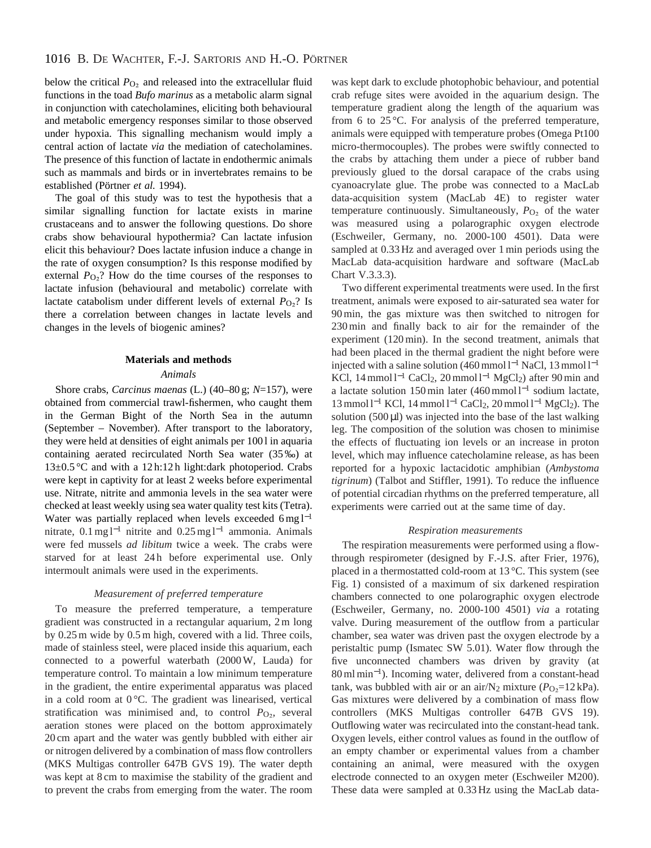below the critical  $P<sub>O<sub>2</sub></sub>$  and released into the extracellular fluid functions in the toad *Bufo marinus* as a metabolic alarm signal in conjunction with catecholamines, eliciting both behavioural and metabolic emergency responses similar to those observed under hypoxia. This signalling mechanism would imply a central action of lactate *via* the mediation of catecholamines. The presence of this function of lactate in endothermic animals such as mammals and birds or in invertebrates remains to be established (Pörtner *et al.* 1994).

The goal of this study was to test the hypothesis that a similar signalling function for lactate exists in marine crustaceans and to answer the following questions. Do shore crabs show behavioural hypothermia? Can lactate infusion elicit this behaviour? Does lactate infusion induce a change in the rate of oxygen consumption? Is this response modified by external  $P_{\text{O}_2}$ ? How do the time courses of the responses to lactate infusion (behavioural and metabolic) correlate with lactate catabolism under different levels of external  $P_{\text{O}_2}$ ? Is there a correlation between changes in lactate levels and changes in the levels of biogenic amines?

# **Materials and methods**

# *Animals*

Shore crabs, *Carcinus maenas* (L.) (40–80 g; *N*=157), were obtained from commercial trawl-fishermen, who caught them in the German Bight of the North Sea in the autumn (September – November). After transport to the laboratory, they were held at densities of eight animals per 100 l in aquaria containing aerated recirculated North Sea water (35‰) at 13±0.5 °C and with a 12 h:12 h light:dark photoperiod. Crabs were kept in captivity for at least 2 weeks before experimental use. Nitrate, nitrite and ammonia levels in the sea water were checked at least weekly using sea water quality test kits (Tetra). Water was partially replaced when levels exceeded  $6 \text{ mg} \, \text{l}^{-1}$ nitrate,  $0.1 \text{ mg}$ <sup>-1</sup> nitrite and  $0.25 \text{ mg}$ <sup>-1</sup> ammonia. Animals were fed mussels *ad libitum* twice a week. The crabs were starved for at least 24h before experimental use. Only intermoult animals were used in the experiments.

# *Measurement of preferred temperature*

To measure the preferred temperature, a temperature gradient was constructed in a rectangular aquarium, 2m long by 0.25m wide by 0.5m high, covered with a lid. Three coils, made of stainless steel, were placed inside this aquarium, each connected to a powerful waterbath (2000W, Lauda) for temperature control. To maintain a low minimum temperature in the gradient, the entire experimental apparatus was placed in a cold room at 0 °C. The gradient was linearised, vertical stratification was minimised and, to control  $P_{\text{O}_2}$ , several aeration stones were placed on the bottom approximately 20 cm apart and the water was gently bubbled with either air or nitrogen delivered by a combination of mass flow controllers (MKS Multigas controller 647B GVS 19). The water depth was kept at 8 cm to maximise the stability of the gradient and to prevent the crabs from emerging from the water. The room

was kept dark to exclude photophobic behaviour, and potential crab refuge sites were avoided in the aquarium design. The temperature gradient along the length of the aquarium was from 6 to 25 °C. For analysis of the preferred temperature, animals were equipped with temperature probes (Omega Pt100 micro-thermocouples). The probes were swiftly connected to the crabs by attaching them under a piece of rubber band previously glued to the dorsal carapace of the crabs using cyanoacrylate glue. The probe was connected to a MacLab data-acquisition system (MacLab 4E) to register water temperature continuously. Simultaneously,  $P_{\text{O}_2}$  of the water was measured using a polarographic oxygen electrode (Eschweiler, Germany, no. 2000-100 4501). Data were sampled at  $0.33$  Hz and averaged over 1 min periods using the MacLab data-acquisition hardware and software (MacLab Chart V.3.3.3).

Two different experimental treatments were used. In the first treatment, animals were exposed to air-saturated sea water for 90min, the gas mixture was then switched to nitrogen for 230min and finally back to air for the remainder of the experiment (120min). In the second treatment, animals that had been placed in the thermal gradient the night before were injected with a saline solution  $(460 \text{ mmol l}^{-1}$  NaCl, 13 mmol l<sup>-1</sup> KCl,  $14 \text{ mmol } 1^{-1}$  CaCl<sub>2</sub>,  $20 \text{ mmol } 1^{-1}$  MgCl<sub>2</sub>) after 90 min and a lactate solution 150 min later  $(460 \text{ mmol l}^{-1})$  sodium lactate, 13 mmol l<sup>-1</sup> KCl, 14 mmol l<sup>-1</sup> CaCl<sub>2</sub>, 20 mmol l<sup>-1</sup> MgCl<sub>2</sub>). The solution  $(500 \,\mu\text{I})$  was injected into the base of the last walking leg. The composition of the solution was chosen to minimise the effects of fluctuating ion levels or an increase in proton level, which may influence catecholamine release, as has been reported for a hypoxic lactacidotic amphibian (*Ambystoma tigrinum*) (Talbot and Stiffler, 1991). To reduce the influence of potential circadian rhythms on the preferred temperature, all experiments were carried out at the same time of day.

#### *Respiration measurements*

The respiration measurements were performed using a flowthrough respirometer (designed by F.-J.S. after Frier, 1976), placed in a thermostatted cold-room at 13 °C. This system (see Fig. 1) consisted of a maximum of six darkened respiration chambers connected to one polarographic oxygen electrode (Eschweiler, Germany, no. 2000-100 4501) *via* a rotating valve. During measurement of the outflow from a particular chamber, sea water was driven past the oxygen electrode by a peristaltic pump (Ismatec SW 5.01). Water flow through the five unconnected chambers was driven by gravity (at 80mlmin<sup>−</sup>1). Incoming water, delivered from a constant-head tank, was bubbled with air or an air/N<sub>2</sub> mixture  $(P<sub>O2</sub>=12$  kPa). Gas mixtures were delivered by a combination of mass flow controllers (MKS Multigas controller 647B GVS 19). Outflowing water was recirculated into the constant-head tank. Oxygen levels, either control values as found in the outflow of an empty chamber or experimental values from a chamber containing an animal, were measured with the oxygen electrode connected to an oxygen meter (Eschweiler M200). These data were sampled at 0.33 Hz using the MacLab data-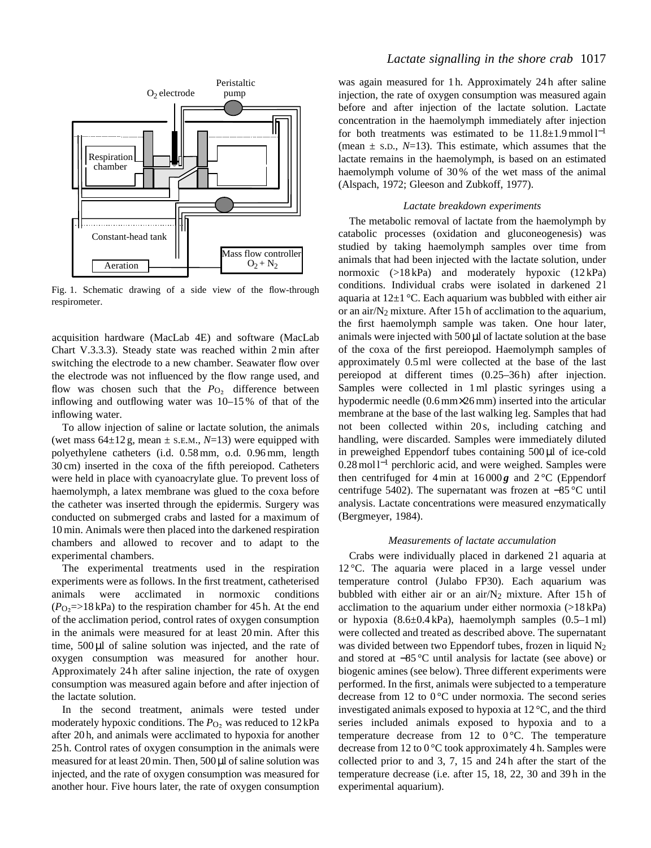

Fig. 1. Schematic drawing of a side view of the flow-through respirometer.

acquisition hardware (MacLab 4E) and software (MacLab Chart V.3.3.3). Steady state was reached within 2min after switching the electrode to a new chamber. Seawater flow over the electrode was not influenced by the flow range used, and flow was chosen such that the  $P_{\text{O}_2}$  difference between inflowing and outflowing water was 10–15 % of that of the inflowing water.

To allow injection of saline or lactate solution, the animals (wet mass  $64\pm12$  g, mean  $\pm$  s.e.m.,  $N=13$ ) were equipped with polyethylene catheters (i.d. 0.58mm, o.d. 0.96mm, length 30 cm) inserted in the coxa of the fifth pereiopod. Catheters were held in place with cyanoacrylate glue. To prevent loss of haemolymph, a latex membrane was glued to the coxa before the catheter was inserted through the epidermis. Surgery was conducted on submerged crabs and lasted for a maximum of 10min. Animals were then placed into the darkened respiration chambers and allowed to recover and to adapt to the experimental chambers.

The experimental treatments used in the respiration experiments were as follows. In the first treatment, catheterised animals were acclimated in normoxic conditions  $(P<sub>O2</sub>=>18$  kPa) to the respiration chamber for 45 h. At the end of the acclimation period, control rates of oxygen consumption in the animals were measured for at least 20min. After this time, 500 µl of saline solution was injected, and the rate of oxygen consumption was measured for another hour. Approximately 24 h after saline injection, the rate of oxygen consumption was measured again before and after injection of the lactate solution.

In the second treatment, animals were tested under moderately hypoxic conditions. The  $P_{\text{O}_2}$  was reduced to 12 kPa after 20 h, and animals were acclimated to hypoxia for another 25 h. Control rates of oxygen consumption in the animals were measured for at least 20 min. Then, 500 µl of saline solution was injected, and the rate of oxygen consumption was measured for another hour. Five hours later, the rate of oxygen consumption

# *Lactate signalling in the shore crab* 1017

was again measured for 1h. Approximately 24h after saline injection, the rate of oxygen consumption was measured again before and after injection of the lactate solution. Lactate concentration in the haemolymph immediately after injection for both treatments was estimated to be  $11.8 \pm 1.9$  mmol l<sup>-1</sup> (mean  $\pm$  s.D.,  $N=13$ ). This estimate, which assumes that the lactate remains in the haemolymph, is based on an estimated haemolymph volume of 30% of the wet mass of the animal (Alspach, 1972; Gleeson and Zubkoff, 1977).

### *Lactate breakdown experiments*

The metabolic removal of lactate from the haemolymph by catabolic processes (oxidation and gluconeogenesis) was studied by taking haemolymph samples over time from animals that had been injected with the lactate solution, under normoxic (>18 kPa) and moderately hypoxic (12 kPa) conditions. Individual crabs were isolated in darkened 21 aquaria at  $12\pm1$  °C. Each aquarium was bubbled with either air or an air/ $N_2$  mixture. After 15 h of acclimation to the aquarium, the first haemolymph sample was taken. One hour later, animals were injected with 500 µl of lactate solution at the base of the coxa of the first pereiopod. Haemolymph samples of approximately 0.5ml were collected at the base of the last pereiopod at different times (0.25–36 h) after injection. Samples were collected in 1ml plastic syringes using a hypodermic needle (0.6 mm×26 mm) inserted into the articular membrane at the base of the last walking leg. Samples that had not been collected within 20 s, including catching and handling, were discarded. Samples were immediately diluted in preweighed Eppendorf tubes containing 500 µl of ice-cold 0.28 mol l<sup>-1</sup> perchloric acid, and were weighed. Samples were then centrifuged for 4 min at  $16000g$  and  $2^{\circ}$ C (Eppendorf centrifuge 5402). The supernatant was frozen at −85 °C until analysis. Lactate concentrations were measured enzymatically (Bergmeyer, 1984).

# *Measurements of lactate accumulation*

Crabs were individually placed in darkened 21 aquaria at 12 °C. The aquaria were placed in a large vessel under temperature control (Julabo FP30). Each aquarium was bubbled with either air or an air/ $N_2$  mixture. After 15h of acclimation to the aquarium under either normoxia (>18 kPa) or hypoxia (8.6±0.4 kPa), haemolymph samples (0.5–1ml) were collected and treated as described above. The supernatant was divided between two Eppendorf tubes, frozen in liquid  $N_2$ and stored at −85 °C until analysis for lactate (see above) or biogenic amines (see below). Three different experiments were performed. In the first, animals were subjected to a temperature decrease from 12 to  $0^{\circ}$ C under normoxia. The second series investigated animals exposed to hypoxia at 12 °C, and the third series included animals exposed to hypoxia and to a temperature decrease from 12 to  $0^{\circ}$ C. The temperature decrease from 12 to 0 °C took approximately 4 h. Samples were collected prior to and 3, 7, 15 and 24 h after the start of the temperature decrease (i.e. after 15, 18, 22, 30 and 39 h in the experimental aquarium).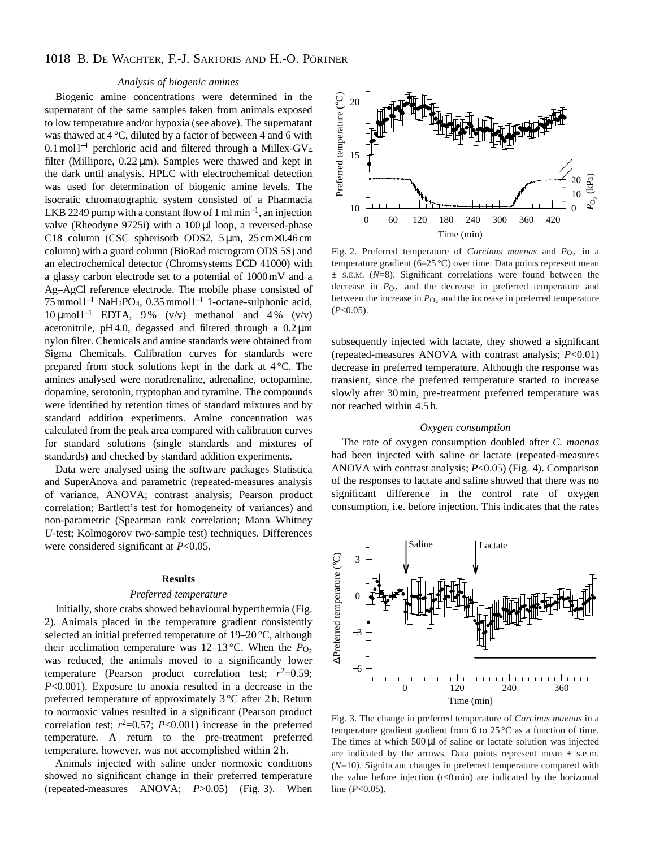# 1018 B. DE WACHTER, F.-J. SARTORIS AND H.-O. PÖRTNER

# *Analysis of biogenic amines*

Biogenic amine concentrations were determined in the supernatant of the same samples taken from animals exposed to low temperature and/or hypoxia (see above). The supernatant was thawed at 4 °C, diluted by a factor of between 4 and 6 with  $0.1 \text{ mol}$ <sup>-1</sup> perchloric acid and filtered through a Millex-GV<sub>4</sub> filter (Millipore,  $0.22 \mu m$ ). Samples were thawed and kept in the dark until analysis. HPLC with electrochemical detection was used for determination of biogenic amine levels. The isocratic chromatographic system consisted of a Pharmacia LKB 2249 pump with a constant flow of 1 ml min<sup>-1</sup>, an injection valve (Rheodyne 9725i) with a 100 µl loop, a reversed-phase C18 column (CSC spherisorb ODS2, 5µm, 25 cm×0.46 cm column) with a guard column (BioRad microgram ODS 5S) and an electrochemical detector (Chromsystems ECD 41000) with a glassy carbon electrode set to a potential of 1000mV and a Ag–AgCl reference electrode. The mobile phase consisted of 75 mmol l<sup>-1</sup> NaH<sub>2</sub>PO<sub>4</sub>, 0.35 mmol l<sup>-1</sup> 1-octane-sulphonic acid, 10 μmol l<sup>-1</sup> EDTA, 9% (v/v) methanol and 4% (v/v) acetonitrile, pH4.0, degassed and filtered through a 0.2µm nylon filter. Chemicals and amine standards were obtained from Sigma Chemicals. Calibration curves for standards were prepared from stock solutions kept in the dark at 4 °C. The amines analysed were noradrenaline, adrenaline, octopamine, dopamine, serotonin, tryptophan and tyramine. The compounds were identified by retention times of standard mixtures and by standard addition experiments. Amine concentration was calculated from the peak area compared with calibration curves for standard solutions (single standards and mixtures of standards) and checked by standard addition experiments.

Data were analysed using the software packages Statistica and SuperAnova and parametric (repeated-measures analysis of variance, ANOVA; contrast analysis; Pearson product correlation; Bartlett's test for homogeneity of variances) and non-parametric (Spearman rank correlation; Mann–Whitney *U*-test; Kolmogorov two-sample test) techniques. Differences were considered significant at *P*<0.05.

#### **Results**

#### *Preferred temperature*

Initially, shore crabs showed behavioural hyperthermia (Fig. 2). Animals placed in the temperature gradient consistently selected an initial preferred temperature of 19–20 °C, although their acclimation temperature was 12–13 °C. When the  $P_{\text{O}_2}$ was reduced, the animals moved to a significantly lower temperature (Pearson product correlation test;  $r^2=0.59$ ; *P*<0.001). Exposure to anoxia resulted in a decrease in the preferred temperature of approximately 3 °C after 2 h. Return to normoxic values resulted in a significant (Pearson product correlation test;  $r^2=0.57$ ;  $P<0.001$ ) increase in the preferred temperature. A return to the pre-treatment preferred temperature, however, was not accomplished within 2 h.

Animals injected with saline under normoxic conditions showed no significant change in their preferred temperature (repeated-measures ANOVA; *P*>0.05) (Fig. 3). When



Fig. 2. Preferred temperature of *Carcinus maenas* and  $P_{\text{O}_2}$  in a temperature gradient (6–25 °C) over time. Data points represent mean ± S.E.M. (*N*=8). Significant correlations were found between the decrease in  $P<sub>O<sub>2</sub></sub>$  and the decrease in preferred temperature and between the increase in  $P<sub>O<sub>2</sub></sub>$  and the increase in preferred temperature (*P*<0.05).

subsequently injected with lactate, they showed a significant (repeated-measures ANOVA with contrast analysis; *P*<0.01) decrease in preferred temperature. Although the response was transient, since the preferred temperature started to increase slowly after 30min, pre-treatment preferred temperature was not reached within 4.5 h.

# *Oxygen consumption*

The rate of oxygen consumption doubled after *C. maenas* had been injected with saline or lactate (repeated-measures ANOVA with contrast analysis; *P*<0.05) (Fig. 4). Comparison of the responses to lactate and saline showed that there was no significant difference in the control rate of oxygen consumption, i.e. before injection. This indicates that the rates



Fig. 3. The change in preferred temperature of *Carcinus maenas* in a temperature gradient gradient from 6 to 25 °C as a function of time. The times at which 500 µl of saline or lactate solution was injected are indicated by the arrows. Data points represent mean  $\pm$  s.e.m. (*N*=10). Significant changes in preferred temperature compared with the value before injection  $(t<0$  min) are indicated by the horizontal line (*P*<0.05).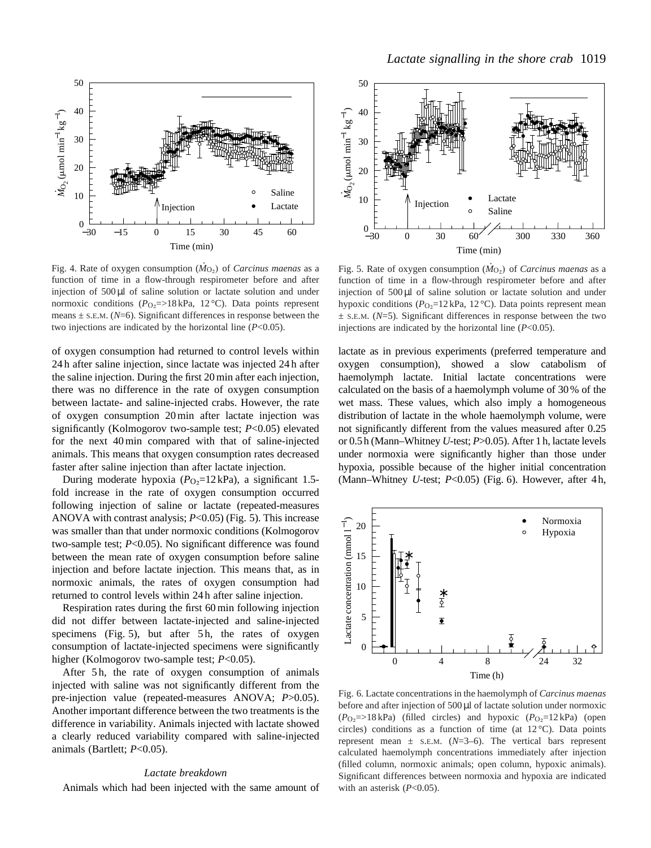

Fig. 4. Rate of oxygen consumption  $(\dot{M}_{\text{O}_2})$  of *Carcinus maenas* as a function of time in a flow-through respirometer before and after injection of 500 µl of saline solution or lactate solution and under normoxic conditions ( $P_{\text{O}_2}$ =>18 kPa, 12 °C). Data points represent means  $\pm$  s.E.M. ( $N=6$ ). Significant differences in response between the two injections are indicated by the horizontal line (*P*<0.05).

of oxygen consumption had returned to control levels within 24 h after saline injection, since lactate was injected 24 h after the saline injection. During the first 20min after each injection, there was no difference in the rate of oxygen consumption between lactate- and saline-injected crabs. However, the rate of oxygen consumption 20min after lactate injection was significantly (Kolmogorov two-sample test; *P*<0.05) elevated for the next 40min compared with that of saline-injected animals. This means that oxygen consumption rates decreased faster after saline injection than after lactate injection.

During moderate hypoxia  $(P<sub>O</sub>$ =12 kPa), a significant 1.5fold increase in the rate of oxygen consumption occurred following injection of saline or lactate (repeated-measures ANOVA with contrast analysis; *P*<0.05) (Fig. 5). This increase was smaller than that under normoxic conditions (Kolmogorov two-sample test; *P*<0.05). No significant difference was found between the mean rate of oxygen consumption before saline injection and before lactate injection. This means that, as in normoxic animals, the rates of oxygen consumption had returned to control levels within 24 h after saline injection.

Respiration rates during the first 60min following injection did not differ between lactate-injected and saline-injected specimens (Fig. 5), but after 5h, the rates of oxygen consumption of lactate-injected specimens were significantly higher (Kolmogorov two-sample test; *P*<0.05).

After 5h, the rate of oxygen consumption of animals injected with saline was not significantly different from the pre-injection value (repeated-measures ANOVA; *P*>0.05). Another important difference between the two treatments is the difference in variability. Animals injected with lactate showed a clearly reduced variability compared with saline-injected animals (Bartlett; *P*<0.05).

#### *Lactate breakdown*

Animals which had been injected with the same amount of



Fig. 5. Rate of oxygen consumption  $(\dot{M}_{\text{O}_2})$  of *Carcinus maenas* as a function of time in a flow-through respirometer before and after injection of 500 µl of saline solution or lactate solution and under hypoxic conditions ( $P_{\text{O}_2}$ =12 kPa, 12 °C). Data points represent mean  $\pm$  S.E.M. ( $N=5$ ). Significant differences in response between the two injections are indicated by the horizontal line (*P*<0.05).

lactate as in previous experiments (preferred temperature and oxygen consumption), showed a slow catabolism of haemolymph lactate. Initial lactate concentrations were calculated on the basis of a haemolymph volume of 30% of the wet mass. These values, which also imply a homogeneous distribution of lactate in the whole haemolymph volume, were not significantly different from the values measured after 0.25 or 0.5 h (Mann–Whitney *U*-test; *P*>0.05). After 1 h, lactate levels under normoxia were significantly higher than those under hypoxia, possible because of the higher initial concentration (Mann–Whitney *U*-test; *P*<0.05) (Fig. 6). However, after 4 h,



Fig. 6. Lactate concentrations in the haemolymph of *Carcinus maenas* before and after injection of  $500 \mu$ l of lactate solution under normoxic  $(P_{O_2} \Rightarrow 18 \text{ kPa})$  (filled circles) and hypoxic  $(P_{O_2} \equiv 12 \text{ kPa})$  (open circles) conditions as a function of time (at  $12^{\circ}$ C). Data points represent mean  $\pm$  s.E.M. ( $N=3-6$ ). The vertical bars represent calculated haemolymph concentrations immediately after injection (filled column, normoxic animals; open column, hypoxic animals). Significant differences between normoxia and hypoxia are indicated with an asterisk (*P*<0.05).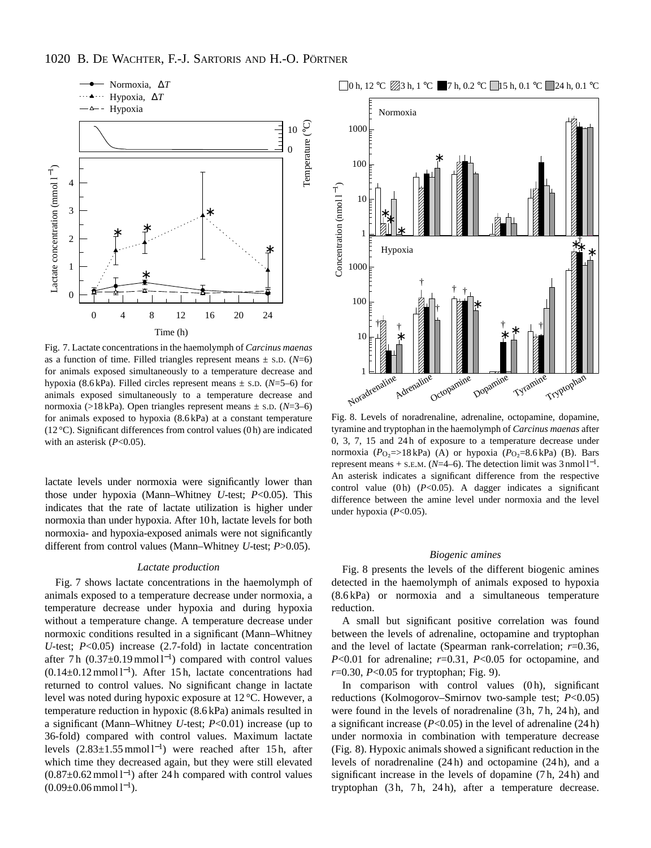

Fig. 7. Lactate concentrations in the haemolymph of *Carcinus maenas* as a function of time. Filled triangles represent means  $\pm$  s.p. (*N*=6) for animals exposed simultaneously to a temperature decrease and hypoxia (8.6 kPa). Filled circles represent means ± S.D. (*N*=5–6) for animals exposed simultaneously to a temperature decrease and normoxia (>18 kPa). Open triangles represent means ± S.D. (*N*=3–6) for animals exposed to hypoxia (8.6 kPa) at a constant temperature (12 °C). Significant differences from control values (0 h) are indicated with an asterisk (*P*<0.05).

lactate levels under normoxia were significantly lower than those under hypoxia (Mann–Whitney *U*-test; *P*<0.05). This indicates that the rate of lactate utilization is higher under normoxia than under hypoxia. After 10 h, lactate levels for both normoxia- and hypoxia-exposed animals were not significantly different from control values (Mann–Whitney *U*-test; *P*>0.05).

#### *Lactate production*

Fig. 7 shows lactate concentrations in the haemolymph of animals exposed to a temperature decrease under normoxia, a temperature decrease under hypoxia and during hypoxia without a temperature change. A temperature decrease under normoxic conditions resulted in a significant (Mann–Whitney *U*-test; *P*<0.05) increase (2.7-fold) in lactate concentration after 7h  $(0.37 \pm 0.19 \text{ mmol l}^{-1})$  compared with control values  $(0.14 \pm 0.12 \text{ mmol l}^{-1})$ . After 15h, lactate concentrations had returned to control values. No significant change in lactate level was noted during hypoxic exposure at 12 °C. However, a temperature reduction in hypoxic (8.6 kPa) animals resulted in a significant (Mann–Whitney *U*-test; *P*<0.01) increase (up to 36-fold) compared with control values. Maximum lactate levels  $(2.83 \pm 1.55 \text{ mmol l}^{-1})$  were reached after 15h, after which time they decreased again, but they were still elevated  $(0.87 \pm 0.62$  mmol l<sup>-1</sup>) after 24 h compared with control values  $(0.09 \pm 0.06$  mmol  $l^{-1}$ ).



Fig. 8. Levels of noradrenaline, adrenaline, octopamine, dopamine, tyramine and tryptophan in the haemolymph of *Carcinus maenas* after 0, 3, 7, 15 and 24 h of exposure to a temperature decrease under normoxia ( $P_{\text{O}_2}$ =>18 kPa) (A) or hypoxia ( $P_{\text{O}_2}$ =8.6 kPa) (B). Bars represent means  $+$  s.e.m. ( $N=4-6$ ). The detection limit was  $3$  nmol  $l^{-1}$ . An asterisk indicates a significant difference from the respective control value (0h) (*P*<0.05). A dagger indicates a significant difference between the amine level under normoxia and the level under hypoxia (*P*<0.05).

# *Biogenic amines*

Fig. 8 presents the levels of the different biogenic amines detected in the haemolymph of animals exposed to hypoxia (8.6 kPa) or normoxia and a simultaneous temperature reduction.

A small but significant positive correlation was found between the levels of adrenaline, octopamine and tryptophan and the level of lactate (Spearman rank-correlation; *r*=0.36, *P*<0.01 for adrenaline; *r*=0.31, *P*<0.05 for octopamine, and *r*=0.30, *P*<0.05 for tryptophan; Fig. 9).

In comparison with control values  $(0 h)$ , significant reductions (Kolmogorov–Smirnov two-sample test; *P*<0.05) were found in the levels of noradrenaline (3 h, 7 h, 24 h), and a significant increase (*P*<0.05) in the level of adrenaline (24 h) under normoxia in combination with temperature decrease (Fig. 8). Hypoxic animals showed a significant reduction in the levels of noradrenaline (24 h) and octopamine (24 h), and a significant increase in the levels of dopamine (7 h, 24 h) and tryptophan (3 h, 7 h, 24 h), after a temperature decrease.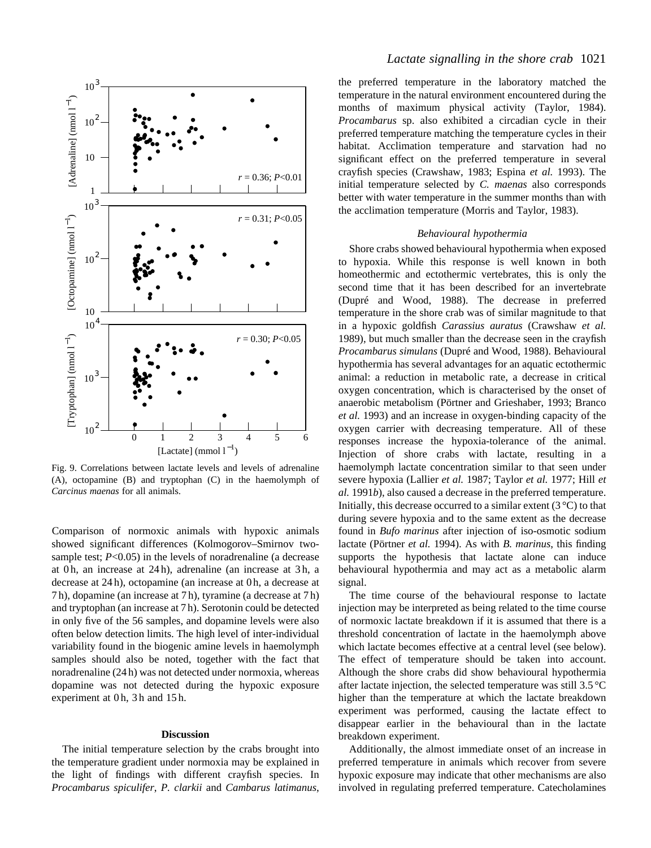

Fig. 9. Correlations between lactate levels and levels of adrenaline (A), octopamine (B) and tryptophan (C) in the haemolymph of *Carcinus maenas* for all animals.

Comparison of normoxic animals with hypoxic animals showed significant differences (Kolmogorov–Smirnov twosample test; *P*<0.05) in the levels of noradrenaline (a decrease at 0 h, an increase at 24 h), adrenaline (an increase at 3 h, a decrease at 24 h), octopamine (an increase at 0 h, a decrease at 7 h), dopamine (an increase at 7 h), tyramine (a decrease at 7 h) and tryptophan (an increase at 7 h). Serotonin could be detected in only five of the 56 samples, and dopamine levels were also often below detection limits. The high level of inter-individual variability found in the biogenic amine levels in haemolymph samples should also be noted, together with the fact that noradrenaline (24 h) was not detected under normoxia, whereas dopamine was not detected during the hypoxic exposure experiment at 0h, 3h and 15h.

### **Discussion**

The initial temperature selection by the crabs brought into the temperature gradient under normoxia may be explained in the light of findings with different crayfish species. In *Procambarus spiculifer*, *P. clarkii* and *Cambarus latimanus*,

# *Lactate signalling in the shore crab* 1021

the preferred temperature in the laboratory matched the temperature in the natural environment encountered during the months of maximum physical activity (Taylor, 1984). *Procambarus* sp. also exhibited a circadian cycle in their preferred temperature matching the temperature cycles in their habitat. Acclimation temperature and starvation had no significant effect on the preferred temperature in several crayfish species (Crawshaw, 1983; Espina *et al.* 1993). The initial temperature selected by *C. maenas* also corresponds better with water temperature in the summer months than with the acclimation temperature (Morris and Taylor, 1983).

#### *Behavioural hypothermia*

Shore crabs showed behavioural hypothermia when exposed to hypoxia. While this response is well known in both homeothermic and ectothermic vertebrates, this is only the second time that it has been described for an invertebrate (Dupré and Wood, 1988). The decrease in preferred temperature in the shore crab was of similar magnitude to that in a hypoxic goldfish *Carassius auratus* (Crawshaw *et al.* 1989), but much smaller than the decrease seen in the crayfish *Procambarus simulans* (Dupré and Wood, 1988). Behavioural hypothermia has several advantages for an aquatic ectothermic animal: a reduction in metabolic rate, a decrease in critical oxygen concentration, which is characterised by the onset of anaerobic metabolism (Pörtner and Grieshaber, 1993; Branco *et al.* 1993) and an increase in oxygen-binding capacity of the oxygen carrier with decreasing temperature. All of these responses increase the hypoxia-tolerance of the animal. Injection of shore crabs with lactate, resulting in a haemolymph lactate concentration similar to that seen under severe hypoxia (Lallier *et al.* 1987; Taylor *et al.* 1977; Hill *et al.* 1991*b*), also caused a decrease in the preferred temperature. Initially, this decrease occurred to a similar extent  $(3^{\circ}C)$  to that during severe hypoxia and to the same extent as the decrease found in *Bufo marinus* after injection of iso-osmotic sodium lactate (Pörtner *et al.* 1994). As with *B. marinus*, this finding supports the hypothesis that lactate alone can induce behavioural hypothermia and may act as a metabolic alarm signal.

The time course of the behavioural response to lactate injection may be interpreted as being related to the time course of normoxic lactate breakdown if it is assumed that there is a threshold concentration of lactate in the haemolymph above which lactate becomes effective at a central level (see below). The effect of temperature should be taken into account. Although the shore crabs did show behavioural hypothermia after lactate injection, the selected temperature was still 3.5 °C higher than the temperature at which the lactate breakdown experiment was performed, causing the lactate effect to disappear earlier in the behavioural than in the lactate breakdown experiment.

Additionally, the almost immediate onset of an increase in preferred temperature in animals which recover from severe hypoxic exposure may indicate that other mechanisms are also involved in regulating preferred temperature. Catecholamines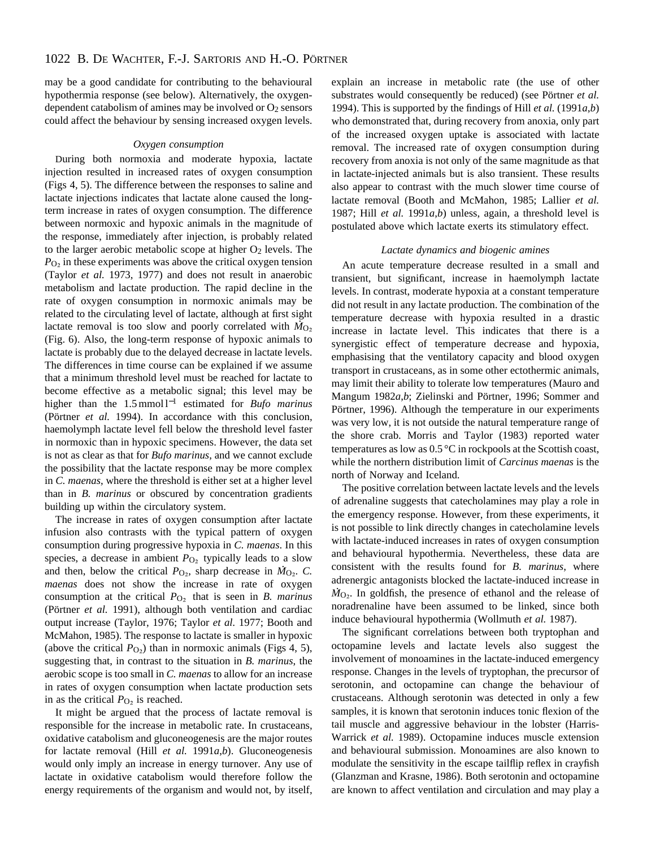may be a good candidate for contributing to the behavioural hypothermia response (see below). Alternatively, the oxygendependent catabolism of amines may be involved or O<sub>2</sub> sensors could affect the behaviour by sensing increased oxygen levels.

# *Oxygen consumption*

During both normoxia and moderate hypoxia, lactate injection resulted in increased rates of oxygen consumption (Figs 4, 5). The difference between the responses to saline and lactate injections indicates that lactate alone caused the longterm increase in rates of oxygen consumption. The difference between normoxic and hypoxic animals in the magnitude of the response, immediately after injection, is probably related to the larger aerobic metabolic scope at higher O<sub>2</sub> levels. The  $P_{\text{O}_2}$  in these experiments was above the critical oxygen tension (Taylor *et al.* 1973, 1977) and does not result in anaerobic metabolism and lactate production. The rapid decline in the rate of oxygen consumption in normoxic animals may be related to the circulating level of lactate, although at first sight . lactate removal is too slow and poorly correlated with  $\dot{M}_{\text{O}_2}$ (Fig. 6). Also, the long-term response of hypoxic animals to lactate is probably due to the delayed decrease in lactate levels. The differences in time course can be explained if we assume that a minimum threshold level must be reached for lactate to become effective as a metabolic signal; this level may be higher than the 1.5mmol<sup>1-1</sup> estimated for *Bufo marinus* (Pörtner *et al.* 1994). In accordance with this conclusion, haemolymph lactate level fell below the threshold level faster in normoxic than in hypoxic specimens. However, the data set is not as clear as that for *Bufo marinus*, and we cannot exclude the possibility that the lactate response may be more complex in *C. maenas*, where the threshold is either set at a higher level than in *B. marinus* or obscured by concentration gradients building up within the circulatory system.

The increase in rates of oxygen consumption after lactate infusion also contrasts with the typical pattern of oxygen consumption during progressive hypoxia in *C. maenas*. In this species, a decrease in ambient  $P_{\text{O}_2}$  typically leads to a slow and then, below the critical  $P_{\text{O}_2}$ , sharp decrease in  $\dot{M}_{\text{O}_2}$ . *C*. *maenas* does not show the increase in rate of oxygen consumption at the critical *P*<sub>O2</sub> that is seen in *B. marinus* (Pörtner *et al.* 1991), although both ventilation and cardiac output increase (Taylor, 1976; Taylor *et al.* 1977; Booth and McMahon, 1985). The response to lactate is smaller in hypoxic (above the critical  $P_{\text{O}_2}$ ) than in normoxic animals (Figs 4, 5), suggesting that, in contrast to the situation in *B. marinus*, the aerobic scope is too small in *C. maenas* to allow for an increase in rates of oxygen consumption when lactate production sets in as the critical  $P<sub>O<sub>2</sub></sub>$  is reached.

It might be argued that the process of lactate removal is responsible for the increase in metabolic rate. In crustaceans, oxidative catabolism and gluconeogenesis are the major routes for lactate removal (Hill *et al.* 1991*a*,*b*). Gluconeogenesis would only imply an increase in energy turnover. Any use of lactate in oxidative catabolism would therefore follow the energy requirements of the organism and would not, by itself,

explain an increase in metabolic rate (the use of other substrates would consequently be reduced) (see Pörtner *et al.* 1994). This is supported by the findings of Hill *et al.* (1991 $a$ ,*b*) who demonstrated that, during recovery from anoxia, only part of the increased oxygen uptake is associated with lactate removal. The increased rate of oxygen consumption during recovery from anoxia is not only of the same magnitude as that in lactate-injected animals but is also transient. These results also appear to contrast with the much slower time course of lactate removal (Booth and McMahon, 1985; Lallier *et al.* 1987; Hill *et al.* 1991*a*,*b*) unless, again, a threshold level is postulated above which lactate exerts its stimulatory effect.

### *Lactate dynamics and biogenic amines*

An acute temperature decrease resulted in a small and transient, but significant, increase in haemolymph lactate levels. In contrast, moderate hypoxia at a constant temperature did not result in any lactate production. The combination of the temperature decrease with hypoxia resulted in a drastic increase in lactate level. This indicates that there is a synergistic effect of temperature decrease and hypoxia, emphasising that the ventilatory capacity and blood oxygen transport in crustaceans, as in some other ectothermic animals, may limit their ability to tolerate low temperatures (Mauro and Mangum 1982*a*,*b*; Zielinski and Pörtner, 1996; Sommer and Pörtner, 1996). Although the temperature in our experiments was very low, it is not outside the natural temperature range of the shore crab. Morris and Taylor (1983) reported water temperatures as low as 0.5 °C in rockpools at the Scottish coast, while the northern distribution limit of *Carcinus maenas* is the north of Norway and Iceland.

The positive correlation between lactate levels and the levels of adrenaline suggests that catecholamines may play a role in the emergency response. However, from these experiments, it is not possible to link directly changes in catecholamine levels with lactate-induced increases in rates of oxygen consumption and behavioural hypothermia. Nevertheless, these data are consistent with the results found for *B. marinus*, where adrenergic antagonists blocked the lactate-induced increase in  $\dot{M}_{\text{O}_2}$ . In goldfish, the presence of ethanol and the release of noradrenaline have been assumed to be linked, since both induce behavioural hypothermia (Wollmuth *et al.* 1987).

The significant correlations between both tryptophan and octopamine levels and lactate levels also suggest the involvement of monoamines in the lactate-induced emergency response. Changes in the levels of tryptophan, the precursor of serotonin, and octopamine can change the behaviour of crustaceans. Although serotonin was detected in only a few samples, it is known that serotonin induces tonic flexion of the tail muscle and aggressive behaviour in the lobster (Harris-Warrick *et al.* 1989). Octopamine induces muscle extension and behavioural submission. Monoamines are also known to modulate the sensitivity in the escape tailflip reflex in crayfish (Glanzman and Krasne, 1986). Both serotonin and octopamine are known to affect ventilation and circulation and may play a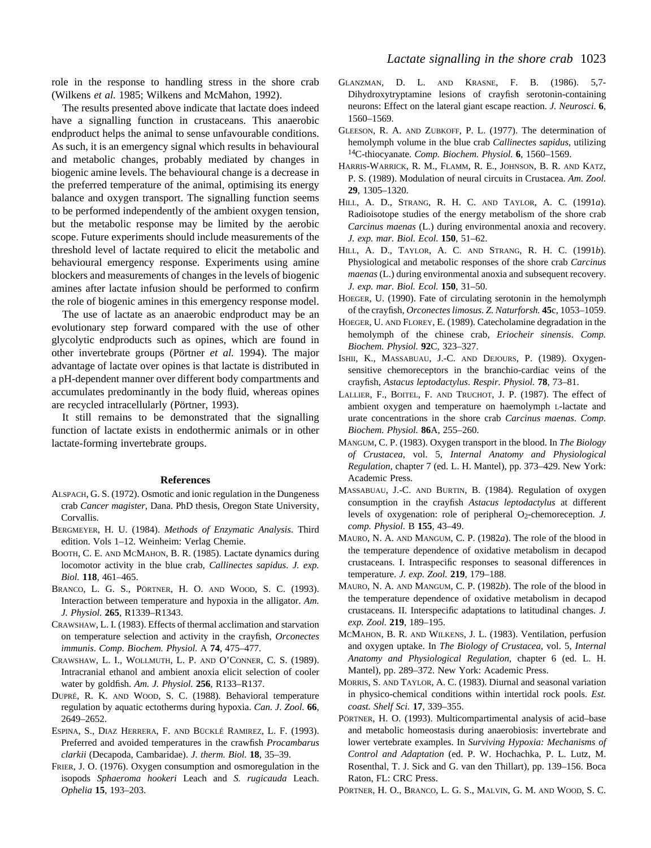role in the response to handling stress in the shore crab (Wilkens *et al.* 1985; Wilkens and McMahon, 1992).

The results presented above indicate that lactate does indeed have a signalling function in crustaceans. This anaerobic endproduct helps the animal to sense unfavourable conditions. As such, it is an emergency signal which results in behavioural and metabolic changes, probably mediated by changes in biogenic amine levels. The behavioural change is a decrease in the preferred temperature of the animal, optimising its energy balance and oxygen transport. The signalling function seems to be performed independently of the ambient oxygen tension, but the metabolic response may be limited by the aerobic scope. Future experiments should include measurements of the threshold level of lactate required to elicit the metabolic and behavioural emergency response. Experiments using amine blockers and measurements of changes in the levels of biogenic amines after lactate infusion should be performed to confirm the role of biogenic amines in this emergency response model.

The use of lactate as an anaerobic endproduct may be an evolutionary step forward compared with the use of other glycolytic endproducts such as opines, which are found in other invertebrate groups (Pörtner *et al.* 1994). The major advantage of lactate over opines is that lactate is distributed in a pH-dependent manner over different body compartments and accumulates predominantly in the body fluid, whereas opines are recycled intracellularly (Pörtner, 1993).

It still remains to be demonstrated that the signalling function of lactate exists in endothermic animals or in other lactate-forming invertebrate groups.

#### **References**

- ALSPACH, G. S. (1972). Osmotic and ionic regulation in the Dungeness crab *Cancer magister*, Dana. PhD thesis, Oregon State University, **Corvallis**
- BERGMEYER, H. U. (1984). *Methods of Enzymatic Analysis*. Third edition. Vols 1–12. Weinheim: Verlag Chemie.
- BOOTH, C. E. AND MCMAHON, B. R. (1985). Lactate dynamics during locomotor activity in the blue crab, *Callinectes sapidus*. *J. exp. Biol.* **118**, 461–465.
- BRANCO, L. G. S., PÖRTNER, H. O. AND WOOD, S. C. (1993). Interaction between temperature and hypoxia in the alligator. *Am. J. Physiol.* **265**, R1339–R1343.
- CRAWSHAW, L. I. (1983). Effects of thermal acclimation and starvation on temperature selection and activity in the crayfish, *Orconectes immunis*. *Comp. Biochem. Physiol.* A **74**, 475–477.
- CRAWSHAW, L. I., WOLLMUTH, L. P. AND O'CONNER, C. S. (1989). Intracranial ethanol and ambient anoxia elicit selection of cooler water by goldfish. *Am. J. Physiol.* **256**, R133–R137.
- DUPRÉ, R. K. AND WOOD, S. C. (1988). Behavioral temperature regulation by aquatic ectotherms during hypoxia. *Can. J. Zool.* **66**, 2649–2652.
- ESPINA, S., DIAZ HERRERA, F. AND BÜCKLÉ RAMIREZ, L. F. (1993). Preferred and avoided temperatures in the crawfish *Procambarus clarkii* (Decapoda, Cambaridae). *J. therm. Biol.* **18**, 35–39.
- FRIER, J. O. (1976). Oxygen consumption and osmoregulation in the isopods *Sphaeroma hookeri* Leach and *S. rugicauda* Leach. *Ophelia* **15**, 193–203.
- GLANZMAN, D. L. AND KRASNE, F. B. (1986). 5,7- Dihydroxytryptamine lesions of crayfish serotonin-containing neurons: Effect on the lateral giant escape reaction. *J. Neurosci.* **6**, 1560–1569.
- GLEESON, R. A. AND ZUBKOFF, P. L. (1977). The determination of hemolymph volume in the blue crab *Callinectes sapidus*, utilizing 14C-thiocyanate. *Comp. Biochem. Physiol.* **6**, 1560–1569.
- HARRIS-WARRICK, R. M., FLAMM, R. E., JOHNSON, B. R. AND KATZ, P. S. (1989). Modulation of neural circuits in Crustacea. *Am. Zool.* **29**, 1305–1320.
- HILL, A. D., STRANG, R. H. C. AND TAYLOR, A. C. (1991*a*). Radioisotope studies of the energy metabolism of the shore crab *Carcinus maenas* (L.) during environmental anoxia and recovery. *J. exp. mar. Biol. Ecol.* **150**, 51–62.
- HILL, A. D., TAYLOR, A. C. AND STRANG, R. H. C. (1991*b*). Physiological and metabolic responses of the shore crab *Carcinus maenas* (L.) during environmental anoxia and subsequent recovery. *J. exp. mar. Biol. Ecol.* **150**, 31–50.
- HOEGER, U. (1990). Fate of circulating serotonin in the hemolymph of the crayfish, *Orconectes limosus*. *Z. Naturforsh.* **45**c, 1053–1059.
- HOEGER, U. AND FLOREY, E. (1989). Catecholamine degradation in the hemolymph of the chinese crab, *Eriocheir sinensis*. *Comp. Biochem. Physiol.* **92**C, 323–327.
- ISHII, K., MASSABUAU, J.-C. AND DEJOURS, P. (1989). Oxygensensitive chemoreceptors in the branchio-cardiac veins of the crayfish, *Astacus leptodactylus*. *Respir. Physiol.* **78**, 73–81.
- LALLIER, F., BOITEL, F. AND TRUCHOT, J. P. (1987). The effect of ambient oxygen and temperature on haemolymph L-lactate and urate concentrations in the shore crab *Carcinus maenas*. *Comp. Biochem. Physiol.* **86**A, 255–260.
- MANGUM, C. P. (1983). Oxygen transport in the blood. In *The Biology of Crustacea*, vol. 5, *Internal Anatomy and Physiological Regulation*, chapter 7 (ed. L. H. Mantel), pp. 373–429. New York: Academic Press.
- MASSABUAU, J.-C. AND BURTIN, B. (1984). Regulation of oxygen consumption in the crayfish *Astacus leptodactylus* at different levels of oxygenation: role of peripheral O2-chemoreception. *J. comp. Physiol.* B **155**, 43–49.
- MAURO, N. A. AND MANGUM, C. P. (1982*a*). The role of the blood in the temperature dependence of oxidative metabolism in decapod crustaceans. I. Intraspecific responses to seasonal differences in temperature. *J. exp. Zool.* **219**, 179–188.
- MAURO, N. A. AND MANGUM, C. P. (1982*b*). The role of the blood in the temperature dependence of oxidative metabolism in decapod crustaceans. II. Interspecific adaptations to latitudinal changes. *J. exp. Zool.* **219**, 189–195.
- MCMAHON, B. R. AND WILKENS, J. L. (1983). Ventilation, perfusion and oxygen uptake. In *The Biology of Crustacea*, vol. 5, *Internal Anatomy and Physiological Regulation*, chapter 6 (ed. L. H. Mantel), pp. 289–372. New York: Academic Press.
- MORRIS, S. AND TAYLOR, A. C. (1983). Diurnal and seasonal variation in physico-chemical conditions within intertidal rock pools. *Est. coast. Shelf Sci.* **17**, 339–355.
- PÖRTNER, H. O. (1993). Multicompartimental analysis of acid–base and metabolic homeostasis during anaerobiosis: invertebrate and lower vertebrate examples. In *Surviving Hypoxia: Mechanisms of Control and Adaptation* (ed. P. W. Hochachka, P. L. Lutz, M. Rosenthal, T. J. Sick and G. van den Thillart), pp. 139–156. Boca Raton, FL: CRC Press.
- PÖRTNER, H. O., BRANCO, L. G. S., MALVIN, G. M. AND WOOD, S. C.